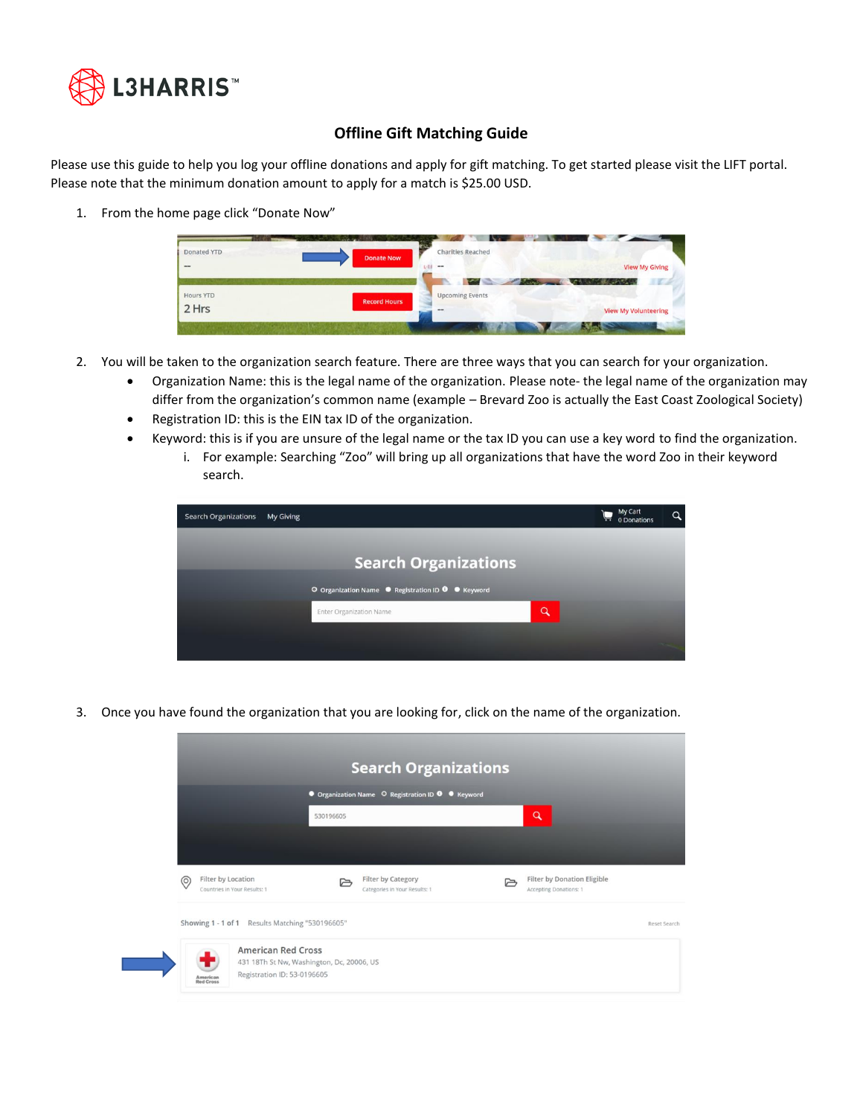

## **Offline Gift Matching Guide**

Please use this guide to help you log your offline donations and apply for gift matching. To get started please visit the LIFT portal. Please note that the minimum donation amount to apply for a match is \$25.00 USD.

1. From the home page click "Donate Now"



- 2. You will be taken to the organization search feature. There are three ways that you can search for your organization.
	- Organization Name: this is the legal name of the organization. Please note- the legal name of the organization may differ from the organization's common name (example – Brevard Zoo is actually the East Coast Zoological Society)
	- Registration ID: this is the EIN tax ID of the organization.
	- Keyword: this is if you are unsure of the legal name or the tax ID you can use a key word to find the organization.
		- i. For example: Searching "Zoo" will bring up all organizations that have the word Zoo in their keyword search.



3. Once you have found the organization that you are looking for, click on the name of the organization.

|                |                                                    |           | <b>Search Organizations</b>                         |                                                       |              |
|----------------|----------------------------------------------------|-----------|-----------------------------------------------------|-------------------------------------------------------|--------------|
|                |                                                    |           | O Organization Name O Registration ID O C Keyword   |                                                       |              |
|                |                                                    | 530196605 |                                                     | $\alpha$                                              |              |
|                |                                                    |           |                                                     |                                                       |              |
|                |                                                    |           |                                                     |                                                       |              |
| $\circledcirc$ | Filter by Location<br>Countries in Your Results: 1 | r         | Filter by Category<br>Categories in Your Results: 1 | Filter by Donation Eligible<br>Accepting Donations: 1 |              |
|                | Showing 1 - 1 of 1 Results Matching "530196605"    |           |                                                     |                                                       | Reset Search |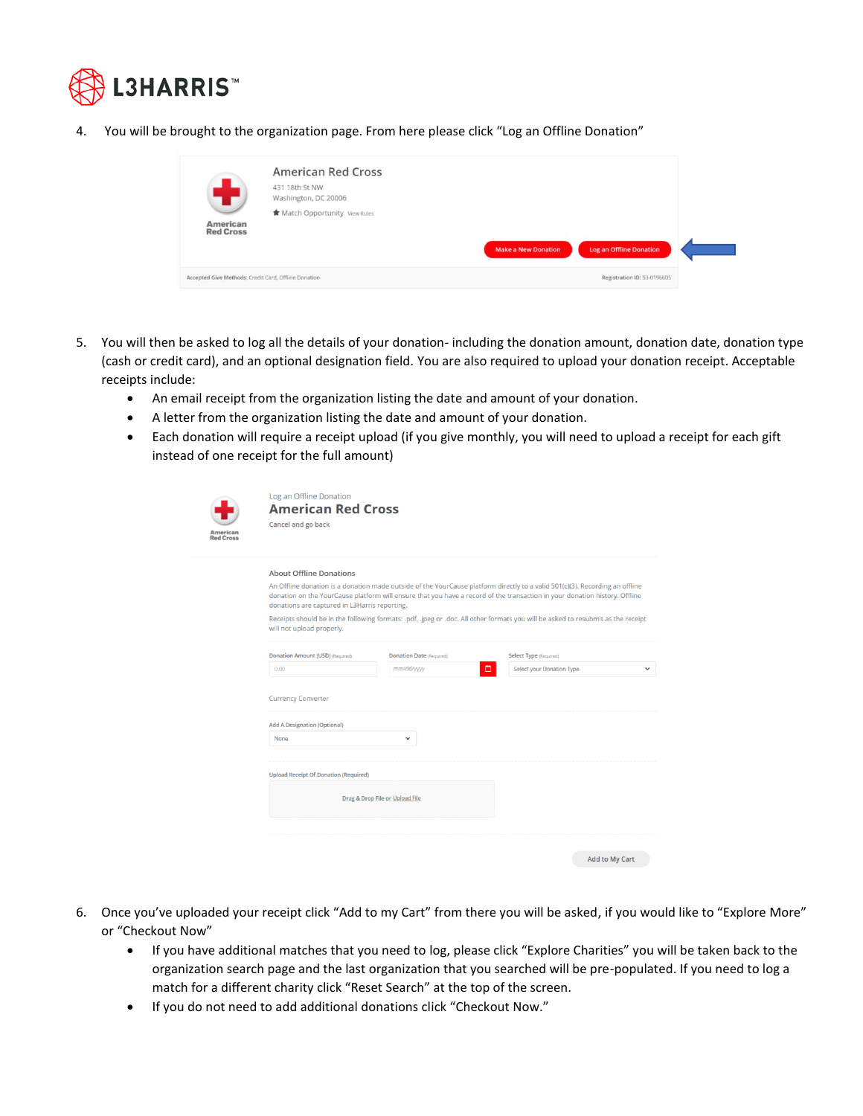

4. You will be brought to the organization page. From here please click "Log an Offline Donation"

|                                                      | <b>American Red Cross</b><br>431 18th St NW<br>Washington, DC 20006 |                                                              |  |
|------------------------------------------------------|---------------------------------------------------------------------|--------------------------------------------------------------|--|
| <b>American</b><br><b>Red Cross</b>                  | <b>*</b> Match Opportunity View Rules                               | <b>Log an Offline Donation</b><br><b>Make a New Donation</b> |  |
| Accepted Give Methods: Credit Card, Offline Donation |                                                                     | Registration ID: 53-0196605                                  |  |

- 5. You will then be asked to log all the details of your donation- including the donation amount, donation date, donation type (cash or credit card), and an optional designation field. You are also required to upload your donation receipt. Acceptable receipts include:
	- An email receipt from the organization listing the date and amount of your donation.
	- A letter from the organization listing the date and amount of your donation.

Log an Offline Donation **American Red Cross** 

• Each donation will require a receipt upload (if you give monthly, you will need to upload a receipt for each gift instead of one receipt for the full amount)

| American<br><b>Red Cross</b> |  |
|------------------------------|--|

| Cancel and go back                            |                                 |                                                                                                                                                                                                                                                            |
|-----------------------------------------------|---------------------------------|------------------------------------------------------------------------------------------------------------------------------------------------------------------------------------------------------------------------------------------------------------|
|                                               |                                 |                                                                                                                                                                                                                                                            |
| <b>About Offline Donations</b>                |                                 |                                                                                                                                                                                                                                                            |
| donations are captured in L3Harris reporting. |                                 | An Offline donation is a donation made outside of the YourCause platform directly to a valid 501(c)(3). Recording an offline<br>donation on the YourCause platform will ensure that you have a record of the transaction in your donation history. Offline |
| will not upload properly.                     |                                 | Receipts should be in the following formats: .pdf, .jpeg or .doc. All other formats you will be asked to resubmit as the receipt                                                                                                                           |
| Donation Amount (USD) (Required)              | <b>Donation Date (Required)</b> | Select Type (Required)                                                                                                                                                                                                                                     |
| 0.00                                          | mm/dd/yyyy                      | ▭<br>Select your Donation Type                                                                                                                                                                                                                             |
| <b>Add A Designation (Optional)</b><br>None   | $\checkmark$                    |                                                                                                                                                                                                                                                            |
| <b>Upload Receipt Of Donation (Required)</b>  |                                 |                                                                                                                                                                                                                                                            |
|                                               | Drag & Drop File or Upload File |                                                                                                                                                                                                                                                            |
|                                               |                                 |                                                                                                                                                                                                                                                            |
|                                               |                                 | Add to My Cart                                                                                                                                                                                                                                             |

- 6. Once you've uploaded your receipt click "Add to my Cart" from there you will be asked, if you would like to "Explore More" or "Checkout Now"
	- If you have additional matches that you need to log, please click "Explore Charities" you will be taken back to the organization search page and the last organization that you searched will be pre-populated. If you need to log a match for a different charity click "Reset Search" at the top of the screen.
	- If you do not need to add additional donations click "Checkout Now."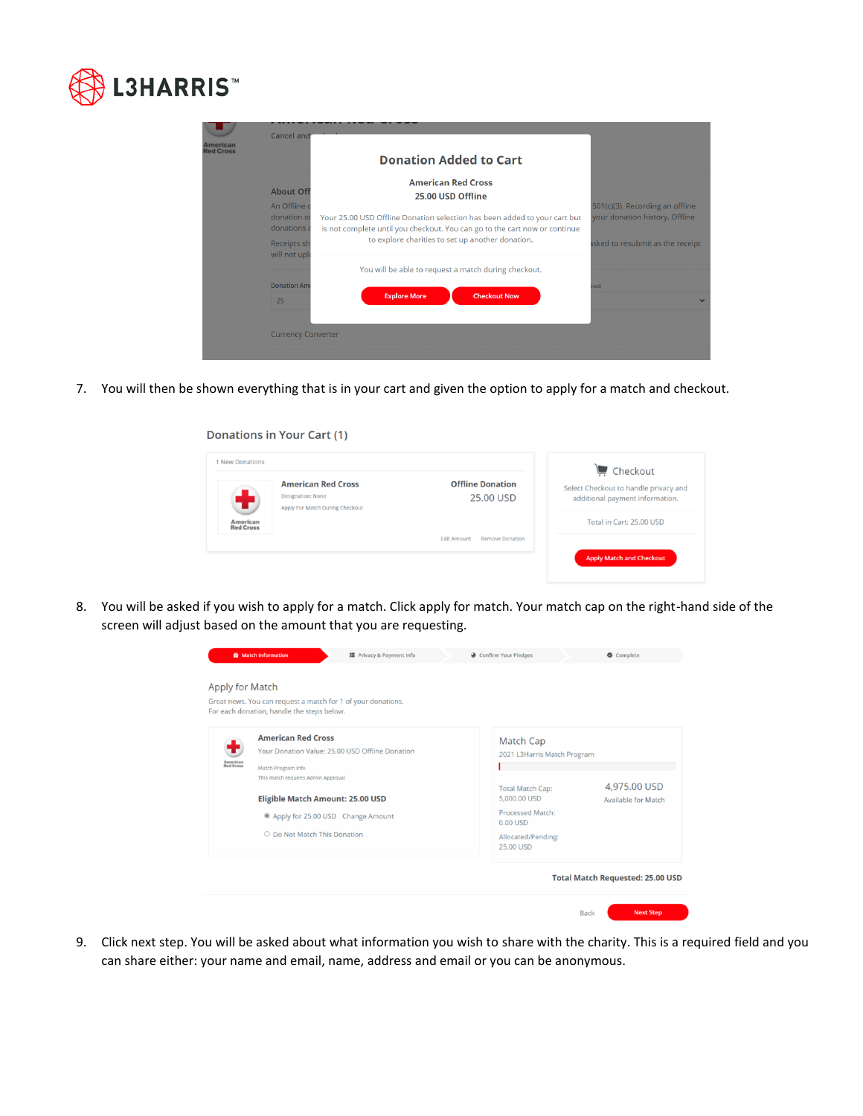

| <b>American</b><br><b>Red Cross</b> | <b>Cancel and</b>                                                             | <b>Donation Added to Cart</b>                                                                                                                                                                                                                                 |                                                                                                       |
|-------------------------------------|-------------------------------------------------------------------------------|---------------------------------------------------------------------------------------------------------------------------------------------------------------------------------------------------------------------------------------------------------------|-------------------------------------------------------------------------------------------------------|
|                                     | <b>About Off</b><br>An Offline o<br>donation or<br>donations a<br>Receipts sh | <b>American Red Cross</b><br>25.00 USD Offline<br>Your 25.00 USD Offline Donation selection has been added to your cart but<br>is not complete until you checkout. You can go to the cart now or continue<br>to explore charities to set up another donation. | 501(c)(3). Recording an offline<br>your donation history. Offline<br>isked to resubmit as the receipt |
|                                     | will not upl<br><b>Donation Am</b><br>25<br><b>Currency Converter</b>         | You will be able to request a match during checkout.<br><b>Explore More</b><br><b>Checkout Now</b>                                                                                                                                                            | ired)                                                                                                 |

7. You will then be shown everything that is in your cart and given the option to apply for a match and checkout.

| 1 New Donations              |                                                                                          |                                              | $C$ Checkout                                                             |
|------------------------------|------------------------------------------------------------------------------------------|----------------------------------------------|--------------------------------------------------------------------------|
| ÷                            | <b>American Red Cross</b><br><b>Designation: None</b><br>Apply For Match During Checkout | <b>Offline Donation</b><br>25.00 USD         | Select Checkout to handle privacy and<br>additional payment information. |
| American<br><b>Red Cross</b> |                                                                                          |                                              | Total in Cart: 25.00 USD                                                 |
|                              |                                                                                          | <b>Edit Amount</b><br><b>Remove Donation</b> |                                                                          |

8. You will be asked if you wish to apply for a match. Click apply for match. Your match cap on the right-hand side of the screen will adjust based on the amount that you are requesting.

| Apply for Match              | <b>it</b> Match Information<br><b>II</b> Privacy & Payment Info<br>Great news. You can request a match for 1 of your donations.<br>For each donation, handle the steps below.                                                                     | Confirm Your Pledges                                                                                                                                            | Complete                                                                   |
|------------------------------|---------------------------------------------------------------------------------------------------------------------------------------------------------------------------------------------------------------------------------------------------|-----------------------------------------------------------------------------------------------------------------------------------------------------------------|----------------------------------------------------------------------------|
| <b>American</b><br>Red Cross | <b>American Red Cross</b><br>Your Donation Value: 25.00 USD Offline Donation<br>Match Program Info<br>This match requires Admin Approval<br>Eligible Match Amount: 25.00 USD<br>Apply for 25.00 USD Change Amount<br>O Do Not Match This Donation | Match Cap<br>2021 L3Harris Match Program<br><b>Total Match Cap:</b><br>5,000.00 USD<br><b>Processed Match:</b><br>$0.00$ USD<br>Allocated/Pending:<br>25.00 USD | 4,975.00 USD<br>Available for Match                                        |
|                              |                                                                                                                                                                                                                                                   |                                                                                                                                                                 | <b>Total Match Requested: 25.00 USD</b><br><b>Next Step</b><br><b>Back</b> |

9. Click next step. You will be asked about what information you wish to share with the charity. This is a required field and you can share either: your name and email, name, address and email or you can be anonymous.